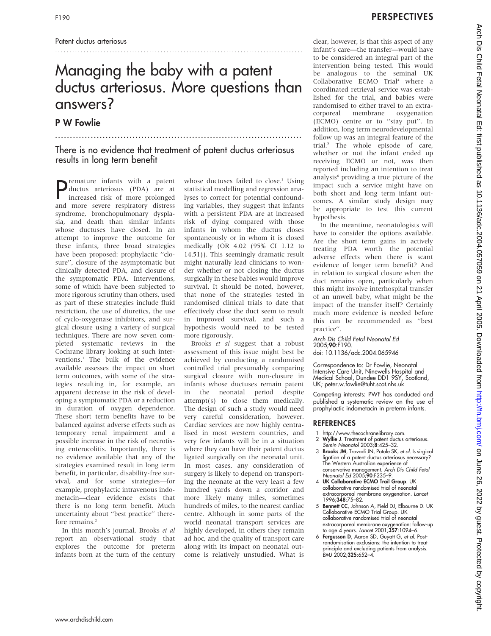#### Patent ductus arteriosus

# Managing the baby with a patent ductus arteriosus. More questions than answers?

.......................................................................................

## P W Fowlie

There is no evidence that treatment of patent ductus arteriosus results in long term benefit

...................................................................................

**P** remature infants with a patent<br>ductus arteriosus (PDA) are at<br>increased risk of more prolonged remature infants with a patent increased risk of more prolonged and more severe respiratory distress syndrome, bronchopulmonary dysplasia, and death than similar infants whose ductuses have closed. In an attempt to improve the outcome for these infants, three broad strategies have been proposed: prophylactic ''closure'', closure of the asymptomatic but clinically detected PDA, and closure of the symptomatic PDA. Interventions, some of which have been subjected to more rigorous scrutiny than others, used as part of these strategies include fluid restriction, the use of diuretics, the use of cyclo-oxygenase inhibitors, and surgical closure using a variety of surgical techniques. There are now seven completed systematic reviews in the Cochrane library looking at such interventions.1 The bulk of the evidence available assesses the impact on short term outcomes, with some of the strategies resulting in, for example, an apparent decrease in the risk of developing a symptomatic PDA or a reduction in duration of oxygen dependence. These short term benefits have to be balanced against adverse effects such as temporary renal impairment and a possible increase in the risk of necrotising enterocolitis. Importantly, there is no evidence available that any of the strategies examined result in long term benefit, in particular, disability-free survival, and for some strategies—for example, prophylactic intravenous indometacin—clear evidence exists that there is no long term benefit. Much uncertainty about ''best practice'' therefore remains.<sup>3</sup>

In this month's journal, Brooks et al report an observational study that explores the outcome for preterm infants born at the turn of the century

whose ductuses failed to close.<sup>3</sup> Using statistical modelling and regression analyses to correct for potential confounding variables, they suggest that infants with a persistent PDA are at increased risk of dying compared with those infants in whom the ductus closes spontaneously or in whom it is closed medically (OR 4.02 (95% CI 1.12 to 14.51)). This seemingly dramatic result might naturally lead clinicians to wonder whether or not closing the ductus surgically in these babies would improve survival. It should be noted, however, that none of the strategies tested in randomised clinical trials to date that effectively close the duct seem to result in improved survival, and such a hypothesis would need to be tested more rigorously.

Brooks et al suggest that a robust assessment of this issue might best be achieved by conducting a randomised controlled trial presumably comparing surgical closure with non-closure in infants whose ductuses remain patent in the neonatal period despite attempt(s) to close them medically. The design of such a study would need very careful consideration, however. Cardiac services are now highly centralised in most western countries, and very few infants will be in a situation where they can have their patent ductus ligated surgically on the neonatal unit. In most cases, any consideration of surgery is likely to depend on transporting the neonate at the very least a few hundred yards down a corridor and more likely many miles, sometimes hundreds of miles, to the nearest cardiac centre. Although in some parts of the world neonatal transport services are highly developed, in others they remain ad hoc, and the quality of transport care along with its impact on neonatal outcome is relatively unstudied. What is

clear, however, is that this aspect of any infant's care—the transfer—would have to be considered an integral part of the intervention being tested. This would be analogous to the seminal UK Collaborative ECMO Trial<sup>4</sup> where a coordinated retrieval service was established for the trial, and babies were randomised to either travel to an extracorporeal membrane oxygenation (ECMO) centre or to ''stay put''. In addition, long term neurodevelopmental follow up was an integral feature of the trial.5 The whole episode of care, whether or not the infant ended up receiving ECMO or not, was then reported including an intention to treat analysis<sup>6</sup> providing a true picture of the impact such a service might have on both short and long term infant outcomes. A similar study design may be appropriate to test this current hypothesis.

In the meantime, neonatologists will have to consider the options available. Are the short term gains in actively treating PDA worth the potential adverse effects when there is scant evidence of longer term benefit? And in relation to surgical closure when the duct remains open, particularly when this might involve interhospital transfer of an unwell baby, what might be the impact of the transfer itself? Certainly much more evidence is needed before this can be recommended as ''best practice''.

Arch Dis Child Fetal Neonatal Ed 2005;90:F190. doi: 10.1136/adc.2004.065946

Correspondence to: Dr Fowlie, Neonatal Intensive Care Unit, Ninewells Hospital and Medical School, Dundee DD1 9SY, Scotland, UK; peter.w.fowlie@tuht.scot.nhs.uk

Competing interests: PWF has conducted and published a systematic review on the use of prophylactic indometacin in preterm infants.

#### **REFERENCES**

- 1 http://www.thecochranelibrary.com. 2 Wyllie J. Treatment of patent ductus arteriosus.
- Semin Neonatol 2003;8:425–32. 3 Brooks JM, Travadi JN, Patole SK, et al. Is sirgical
- ligation of a patent ductus arteriosus necessary? The Western Australian experience of conservative management. *Arch Dis Child Fetal*<br>Neon*atal Ed* 2005;**90**:F235–9.
- 4 UK Collaborative ECMO Trail Group. UK collaborative randomised trial of neonatal extracorporeal membrane oxygenation. Lancet 1996;348:75–82.
- 5 Bennett CC, Johnson A, Field DJ, Elbourne D. UK Collaborative ECMO Trial Group. UK collaborative randomised trial of neonatal extracorporeal membrane oxygenation: follow-up<br>to age 4 years. *Lancet* 2001;**357**:1094–6.
- 6 Fergusson D, Aaron SD, Guyatt G, et al. Postrandomisation exclusions: the intention to treat principle and excluding patients from analysis.<br>BMJ 2002;**325**:652–4.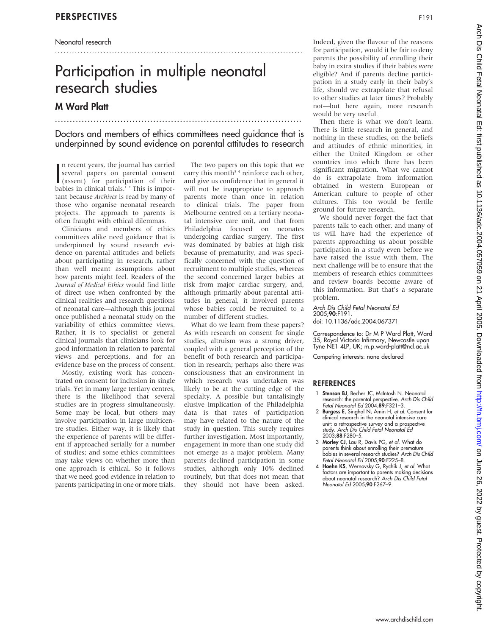# Participation in multiple neonatal research studies

# M Ward Platt

## Doctors and members of ethics committees need guidance that is underpinned by sound evidence on parental attitudes to research

...................................................................................

In recent years, the journal has carried<br>
several papers on parental consent<br>
(assent) for participation of their<br>
babies in clinical trials <sup>1,2</sup> This is imporn recent years, the journal has carried several papers on parental consent babies in clinical trials.<sup>12</sup> This is important because Archives is read by many of those who organise neonatal research projects. The approach to parents is often fraught with ethical dilemmas.

Clinicians and members of ethics committees alike need guidance that is underpinned by sound research evidence on parental attitudes and beliefs about participating in research, rather than well meant assumptions about how parents might feel. Readers of the Journal of Medical Ethics would find little of direct use when confronted by the clinical realities and research questions of neonatal care—although this journal once published a neonatal study on the variability of ethics committee views. Rather, it is to specialist or general clinical journals that clinicians look for good information in relation to parental views and perceptions, and for an evidence base on the process of consent.

Mostly, existing work has concentrated on consent for inclusion in single trials. Yet in many large tertiary centres, there is the likelihood that several studies are in progress simultaneously. Some may be local, but others may involve participation in large multicentre studies. Either way, it is likely that the experience of parents will be different if approached serially for a number of studies; and some ethics committees may take views on whether more than one approach is ethical. So it follows that we need good evidence in relation to parents participating in one or more trials.

The two papers on this topic that we carry this month<sup>3</sup><sup>4</sup> reinforce each other, and give us confidence that in general it will not be inappropriate to approach parents more than once in relation to clinical trials. The paper from Melbourne centred on a tertiary neonatal intensive care unit, and that from Philadelphia focused on neonates undergoing cardiac surgery. The first was dominated by babies at high risk because of prematurity, and was specifically concerned with the question of recruitment to multiple studies, whereas the second concerned larger babies at risk from major cardiac surgery, and, although primarily about parental attitudes in general, it involved parents whose babies could be recruited to a number of different studies.

What do we learn from these papers? As with research on consent for single studies, altruism was a strong driver, coupled with a general perception of the benefit of both research and participation in research; perhaps also there was consciousness that an environment in which research was undertaken was likely to be at the cutting edge of the specialty. A possible but tantalisingly elusive implication of the Philadelphia data is that rates of participation may have related to the nature of the study in question. This surely requires further investigation. Most importantly, engagement in more than one study did not emerge as a major problem. Many parents declined participation in some studies, although only 10% declined routinely, but that does not mean that they should not have been asked.

Indeed, given the flavour of the reasons for participation, would it be fair to deny parents the possibility of enrolling their baby in extra studies if their babies were eligible? And if parents decline participation in a study early in their baby's life, should we extrapolate that refusal to other studies at later times? Probably not—but here again, more research would be very useful.

Then there is what we don't learn. There is little research in general, and nothing in these studies, on the beliefs and attitudes of ethnic minorities, in either the United Kingdom or other countries into which there has been significant migration. What we cannot do is extrapolate from information obtained in western European or American culture to people of other cultures. This too would be fertile ground for future research.

We should never forget the fact that parents talk to each other, and many of us will have had the experience of parents approaching us about possible participation in a study even before we have raised the issue with them. The next challenge will be to ensure that the members of research ethics committees and review boards become aware of this information. But that's a separate problem.

Arch Dis Child Fetal Neonatal Ed 2005;90:F191. doi: 10.1136/adc.2004.067371

Correspondence to: Dr M P Ward Platt, Ward 35, Royal Victoria Infirmary, Newcastle upon Tyne NE1 4LP, UK; m.p.ward-platt@ncl.ac.uk

Competing interests: none declared

### REFERENCES

- 1 Stenson BJ, Becher JC, McIntosh N. Neonatal research: the parental perspective. Arch Dis Child Fetal Neonatal Ed 2004;89:F321–3.
- 2 Burgess E, Singhal N, Amin H, et al. Consent for clinical research in the neonatal intensive care unit: a retrospective survey and a prospective study. Arch Dis Child Fetal Neonatal Ed 2003;88:F280–5.
- 3 Morley CJ, Lau R, Davis PG, et al. What do parents think about enrolling their premature babies in several research studies? Arch Dis Child Fetal Neonatal Ed 2005;90:F225–8.
- 4 Hoehn KS, Wernovsky G, Rychik J, et al. What factors are important to parents making decisions about neonatal research? Arch Dis Child Fetal Neonatal Ed 2005;90:F267–9.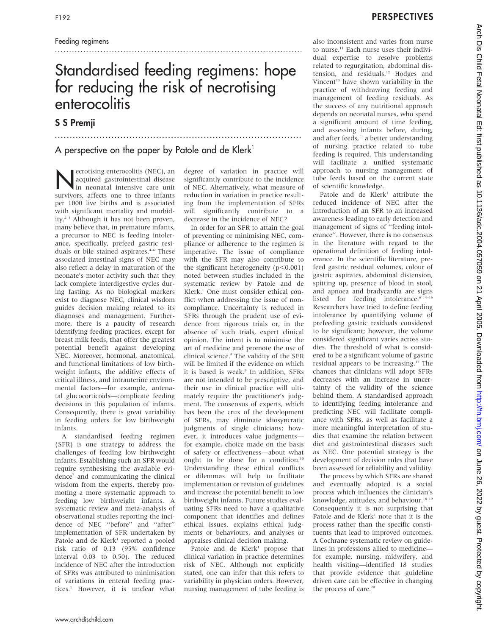### Feeding regimens

# Standardised feeding regimens: hope for reducing the risk of necrotising enterocolitis

...................................................................................

.......................................................................................

## S S Premji

A perspective on the paper by Patole and de Klerk<sup>1</sup>

Necrotising enterocolitis (NEC), and<br>acquired gastrointestinal disease<br>in neonatal intensive care unit acquired gastrointestinal disease in neonatal intensive care unit survivors, affects one to three infants per 1000 live births and is associated with significant mortality and morbidity.2 3 Although it has not been proven, many believe that, in premature infants, a precursor to NEC is feeding intolerance, specifically, prefeed gastric residuals or bile stained aspirates.<sup>4-6</sup> These associated intestinal signs of NEC may also reflect a delay in maturation of the neonate's motor activity such that they lack complete interdigestive cycles during fasting. As no biological markers exist to diagnose NEC, clinical wisdom guides decision making related to its diagnoses and management. Furthermore, there is a paucity of research identifying feeding practices, except for breast milk feeds, that offer the greatest potential benefit against developing NEC. Moreover, hormonal, anatomical, and functional limitations of low birthweight infants, the additive effects of critical illness, and intrauterine environmental factors—for example, antenatal glucocorticoids—complicate feeding decisions in this population of infants. Consequently, there is great variability in feeding orders for low birthweight infants.

A standardised feeding regimen (SFR) is one strategy to address the challenges of feeding low birthweight infants. Establishing such an SFR would require synthesising the available evidence7 and communicating the clinical wisdom from the experts, thereby promoting a more systematic approach to feeding low birthweight infants. A systematic review and meta-analysis of observational studies reporting the incidence of NEC ''before'' and ''after'' implementation of SFR undertaken by Patole and de Klerk<sup>1</sup> reported a pooled risk ratio of 0.13 (95% confidence interval 0.03 to 0.50). The reduced incidence of NEC after the introduction of SFRs was attributed to minimisation of variations in enteral feeding practices.<sup>1</sup> However, it is unclear what degree of variation in practice will significantly contribute to the incidence of NEC. Alternatively, what measure of reduction in variation in practice resulting from the implementation of SFRs will significantly contribute to a decrease in the incidence of NEC?

In order for an SFR to attain the goal of preventing or minimising NEC, compliance or adherence to the regimen is imperative. The issue of compliance with the SFR may also contribute to the significant heterogeneity  $(p<0.001)$ noted between studies included in the systematic review by Patole and de Klerk.<sup>1</sup> One must consider ethical conflict when addressing the issue of noncompliance. Uncertainty is reduced in SFRs through the prudent use of evidence from rigorous trials or, in the absence of such trials, expert clinical opinion. The intent is to minimise the art of medicine and promote the use of clinical science.8 The validity of the SFR will be limited if the evidence on which it is based is weak.<sup>9</sup> In addition, SFRs are not intended to be prescriptive, and their use in clinical practice will ultimately require the practitioner's judgment. The consensus of experts, which has been the crux of the development of SFRs, may eliminate idiosyncratic judgments of single clinicians; however, it introduces value judgments for example, choice made on the basis of safety or effectiveness—about what ought to be done for a condition.<sup>10</sup> Understanding these ethical conflicts or dilemmas will help to facilitate implementation or revision of guidelines and increase the potential benefit to low birthweight infants. Future studies evaluating SFRs need to have a qualitative component that identifies and defines ethical issues, explains ethical judgments or behaviours, and analyses or appraises clinical decision making.

Patole and de Klerk<sup>1</sup> propose that clinical variation in practice determines risk of NEC. Although not explicitly stated, one can infer that this refers to variability in physician orders. However, nursing management of tube feeding is

also inconsistent and varies from nurse to nurse.<sup>11</sup> Each nurse uses their individual expertise to resolve problems related to regurgitation, abdominal distension, and residuals.12 Hodges and Vincent<sup>13</sup> have shown variability in the practice of withdrawing feeding and management of feeding residuals. As the success of any nutritional approach depends on neonatal nurses, who spend a significant amount of time feeding, and assessing infants before, during, and after feeds, $11$  a better understanding of nursing practice related to tube feeding is required. This understanding will facilitate a unified systematic approach to nursing management of tube feeds based on the current state of scientific knowledge. F192 **PERSPECTIVES** 

> Patole and de Klerk<sup>1</sup> attribute the reduced incidence of NEC after the introduction of an SFR to an increased awareness leading to early detection and management of signs of ''feeding intolerance''. However, there is no consensus in the literature with regard to the operational definition of feeding intolerance. In the scientific literature, prefeed gastric residual volumes, colour of gastric aspirates, abdominal distension, spitting up, presence of blood in stool, and apnoea and bradycardia are signs listed for feeding intolerance.<sup>6 14–16</sup> Researchers have tried to define feeding intolerance by quantifying volume of prefeeding gastric residuals considered to be significant; however, the volume considered significant varies across studies. The threshold of what is considered to be a significant volume of gastric residual appears to be increasing.17 The chances that clinicians will adopt SFRs decreases with an increase in uncertainty of the validity of the science behind them. A standardised approach to identifying feeding intolerance and predicting NEC will facilitate compliance with SFRs, as well as facilitate a more meaningful interpretation of studies that examine the relation between diet and gastrointestinal diseases such as NEC. One potential strategy is the development of decision rules that have been assessed for reliability and validity.

The process by which SFRs are shared and eventually adopted is a social process which influences the clinician's knowledge, attitudes, and behaviour.<sup>18 19</sup> Consequently it is not surprising that Patole and de Klerk<sup>1</sup> note that it is the process rather than the specific constituents that lead to improved outcomes. A Cochrane systematic review on guidelines in professions allied to medicine for example, nursing, midwifery, and health visiting—identified 18 studies that provide evidence that guideline driven care can be effective in changing the process of care.<sup>20</sup>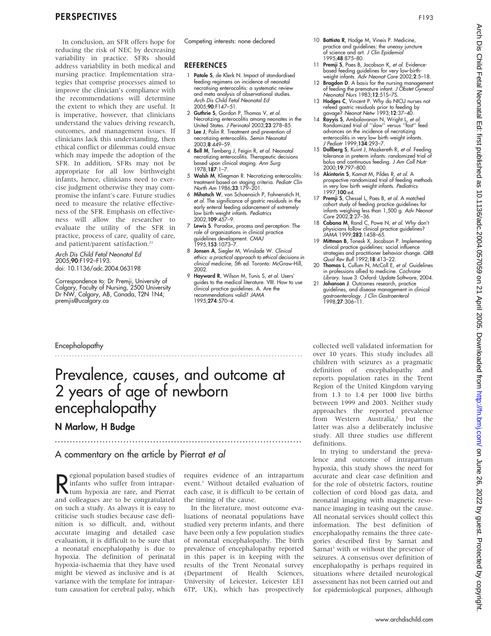# **PERSPECTIVES** F193

In conclusion, an SFR offers hope for reducing the risk of NEC by decreasing variability in practice. SFRs should address variability in both medical and nursing practice. Implementation strategies that comprise processes aimed to improve the clinician's compliance with the recommendations will determine the extent to which they are useful. It is imperative, however, that clinicians understand the values driving research, outcomes, and management issues. If clinicians lack this understanding, then ethical conflict or dilemmas could ensue which may impede the adoption of the SFR. In addition, SFRs may not be appropriate for all low birthweight infants, hence, clinicians need to exercise judgment otherwise they may compromise the infant's care. Future studies need to measure the relative effectiveness of the SFR. Emphasis on effectiveness will allow the researcher to evaluate the utility of the SFR in practice, process of care, quality of care, and patient/parent satisfaction.<sup>21</sup>

Arch Dis Child Fetal Neonatal Ed 2005;90:F192–F193. doi: 10.1136/adc.2004.063198

Correspondence to: Dr Premji, University of Calgary, Faculty of Nursing, 2500 University Dr NW, Calgary, AB, Canada, T2N 1N4; premjis@ucalgary.ca

Competing interests: none declared

#### REFERENCES

- 1 Patole S, de Klerk N. Impact of standardised feeding regimens on incidence of neonatal necrotising enterocolitis: a systematic review and meta analysis of observational studies. Arch Dis Child Fetal Neonatal Ed 2005;90:F147–51.
- 2 Guthrie S, Gordon P, Thomas V, et al. Necrotizing enterocolitis among neonates in the United States. J Perinatol 2003;23:278–85.
- 3 Lee J, Polin R. Treatment and prevention of necrotizing enterocolitis. Semin Neonatal 2003;8:449–59.
- 4 Bell M, Temberg J, Feigin R, et al. Neonatal necrotizing enterocolitis. Therapeutic decisions based upon clinical staging. Ann Surg 1978;187:1–7.
- 5 Walsh M, Kliegman R. Necrotizing enterocolitis: treatment based on staging criteria. *Pediatr Clin*<br>North Am 1986;**33**:179–201.
- 6 Mihatsch W, von Schoenaich P, Fahnenstich H, et al. The significance of gastric residuals in the early enteral feeding adancement of extremely low birth weight infants. *Pediatrics*<br>2002;**109**:457–9.
- 7 Lewis S. Paradox, process and perception: The role of organizations in clinical practice guidelines development. CMAJ 1995;153:1073–7.
- 8 Jonsen A, Siegler M, Winslade W. Clinical ethics: a practical approach to ethical decisions in clinical medicine, 5th ed. Toronto: McGraw-Hill, 2002.
- 9 Hayward R, Wilson M, Tunis S, et al. Users' guides to the medical literature. VIII. How to use clinical practice guidelines. A. Are the recommendations valid? JAMA 1995;274:570–4.

.......................................................................................

- 10 Battista R, Hodge M, Vineis P. Medicine, practice and guidelines: the uneasy juncture of science and art. J Clin Epidemiol 1995;48:875–80.
- 11 Premji S, Paes B, Jacobson K, et al. Evidencebased feeding guidelines for very low-birthweight infants. Adv Neonat Care 2002;2:5–18.
- 12 Bragdon D. A basis for the nursing management of feeding the premature infant. J Obstet Gynecol Neonatal Nurs 1983;12:51S–7S.
- 13 Hodges C, Vincent P. Why do NICU nurses not refeed gastric residuals prior to feeding by gavage? Neonat Netw 1993;12:37–40.
- 14 Rayyis S, Ambalavanan N, Wright L, et al. Randomized trial of ''slow'' versus ''fast'' feed advances on the incidence of necrotizing enterocolitis in very low birth weight infants. J Pediatr 1999;134:293–7.
- 15 Dollberg S, Kuint J, Mazkereth R, et al. Feeding tolerance in preterm infants: randomized trial of bolus and continuous feeding. J Am Coll Nutr 2000;19:797–800.
- 16 Akintorin S, Kamat M, Pildes R, et al. A prospective randomized trial of feeding methods in very low birth weight infants. Pediatrics 1997;100:e4.
- 17 Premji S, Chessel L, Paes B, et al. A matched cohort study of feeding practice guidelines for infants weighing less than 1,500 g. Adv Neonat Care 2002;2:27–36.
- 18 Cabana M, Rand C, Powe N, et al. Why don't physicians follow clinical practice guidelines? JAMA 1999;282:1458–65.
- 19 Mittman B, Tonesk X, Jacobson P. Implementing clinical practice guidelines: social influence strategies and practitioner behavior change. QRB<br>Qual Rev Bull 1992;**18**:413–22.
- 20 Thomas L, Cullum N, McColl E, et al. Guidelines in professions allied to medicine. Cochrane Library. Issue 3. Oxford: Update Software, 2004.
- 21 Johanson J. Outcomes research, practice guidelines, and disease management in clinical gastroenterology. J Clin Gastroenterol gastroenier Cross,<br>1998;**27**:306-11.

## Encephalopathy

# Prevalence, causes, and outcome at 2 years of age of newborn encephalopathy

...................................................................................

## N Marlow, H Budge

# A commentary on the article by Pierrat et al

Regional population based studies of<br>
tum hypoxia are rare, and Pierrat<br>
and sellectures are to be congratulated egional population based studies of infants who suffer from intraparand colleagues are to be congratulated on such a study. As always it is easy to criticise such studies because case definition is so difficult, and, without accurate imaging and detailed case evaluation, it is difficult to be sure that a neonatal encephalopathy is due to hypoxia. The definition of perinatal hypoxia-ischaemia that they have used might be viewed as inclusive and is at variance with the template for intrapartum causation for cerebral palsy, which

requires evidence of an intrapartum event.<sup>1</sup> Without detailed evaluation of each case, it is difficult to be certain of the timing of the cause.

In the literature, most outcome evaluations of neonatal populations have studied very preterm infants, and there have been only a few population studies of neonatal encephalopathy. The birth prevalence of encephalopathy reported in this paper is in keeping with the results of the Trent Neonatal survey (Department of Health Sciences, University of Leicester, Leicester LE1 6TP, UK), which has prospectively

collected well validated information for over 10 years. This study includes all children with seizures as a pragmatic definition of encephalopathy and reports population rates in the Trent Region of the United Kingdom varying from 1.3 to 1.4 per 1000 live births between 1999 and 2003. Neither study approaches the reported prevalence from Western Australia,<sup>2</sup> but the latter was also a deliberately inclusive study. All three studies use different definitions.

In trying to understand the prevalence and outcome of intrapartum hypoxia, this study shows the need for accurate and clear case definition and for the role of obstetric factors, routine collection of cord blood gas data, and neonatal imaging with magnetic resonance imaging in teasing out the cause. All neonatal services should collect this information. The best definition of encephalopathy remains the three categories described first by Sarnat and Sarnat<sup>3</sup> with or without the presence of seizures. A consensus over definition of encephalopathy is perhaps required in situations where detailed neurological assessment has not been carried out and for epidemiological purposes, although